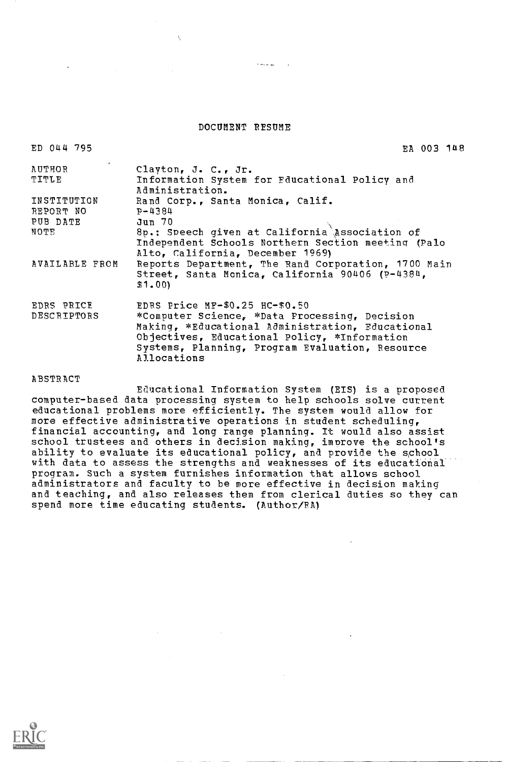#### DOCUMENT RESUME

 $\sim$  200  $\mu$ 

| ED 044 795                                   | EA 003 148                                                                                                                                                                                                                                            |
|----------------------------------------------|-------------------------------------------------------------------------------------------------------------------------------------------------------------------------------------------------------------------------------------------------------|
| AUTHOR<br>TITLE                              | Clayton, J. C., Jr.<br>Information System for Educational Policy and<br>Administration.                                                                                                                                                               |
| INSTITUTION<br>REPORT NO<br>PUB DATE<br>NOTE | Rand Corp., Santa Monica, Calif.<br>$P - 4384$<br>Jun 70<br>8p.: Speech given at California Association of<br>Independent Schools Northern Section meeting (Palo<br>Alto, California, December 1969)                                                  |
| AVAILABLE FROM                               | Reports Department, The Rand Corporation, 1700 Main<br>Street, Santa Monica, California 90406 (P-4384,<br>\$1,00                                                                                                                                      |
| EDRS PRICE<br>DESCRIPTORS                    | EDRS Price MF-\$0.25 HC-\$0.50<br>*Computer Science, *Data Processing, Decision<br>Making, *Educational Administration, Educational<br>Objectives, Educational Policy, *Information<br>Systems, Planning, Program Evaluation, Resource<br>Allocations |
| ABSTRACT                                     |                                                                                                                                                                                                                                                       |

Educational Information System (EIS) is a proposed computer-based data processing system to help schools solve current educational problems more efficiently. The system would allow for more effective administrative operations in student scheduling, financial accounting, and long range planning. It would also assist school trustees and others in decision making, improve the school's ability to evaluate its educational policy, and provide the school with data to assess the strengths and weaknesses of its educational program. Such a system furnishes information that allows school administrators and faculty to be more effective in decision making and teaching, and also releases them from clerical duties so they can spend more time educating students. (Author/RA)

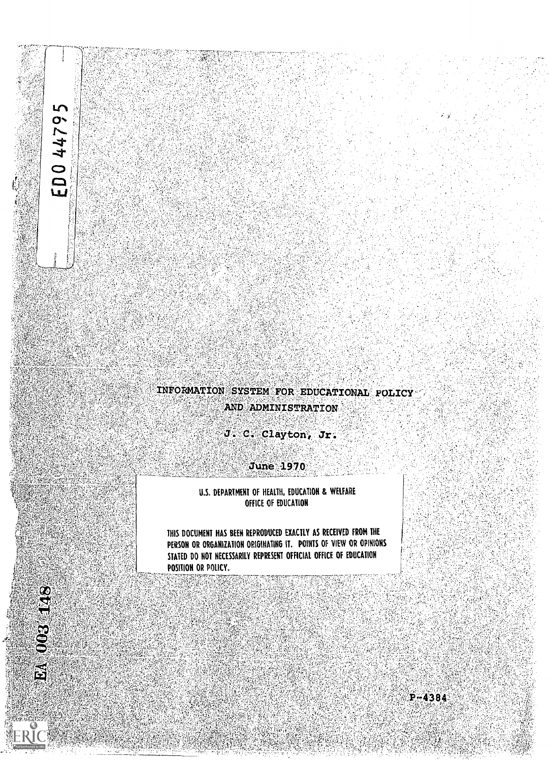# ED044795

 $003148$ 

畜

# INFORMATION SYSTEM FOR EDUCATIONAL POLICY AND ADMINISTRATION

J. C. Clayton, Jr.

**June 1970** 

U.S. DEPARTMENT OF HEALTH, EDUCATION & WELFARE OFFICE OF EDUCATION

THIS DOCUMENT HAS BEEN REPRODUCED EXACTLY AS RECEIVED FROM THE PERSON OR ORGANIZATION ORIGINATING IT. POINTS OF VIEW OR OPINIONS STATED DO NOT NECESSARILY REPRESENT OFFICIAL OFFICE OF EDUCATION POSITION OR POLICY.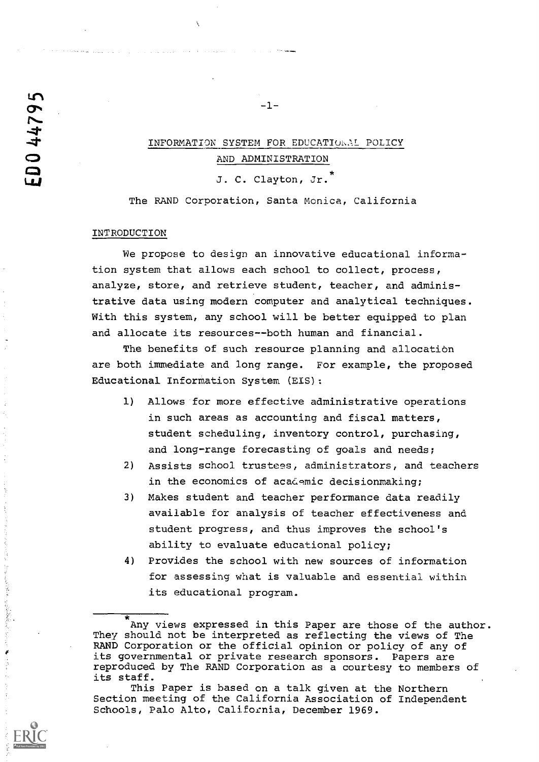# INFORMATION SYSTEM FOR EDUCATIONAL POLICY AND ADMINISTRATION

-1-

J. C. Clayton, Jr.

The RAND Corporation, Santa Monica, California

# INTRODUCTION

We propose to design an innovative educational information system that allows each school to collect, process, analyze, store, and retrieve student, teacher, and administrative data using modern computer and analytical techniques. With this system, any school will be better equipped to plan and allocate its resources--both human and financial.

The benefits of such resource planning and allocation are both immediate and long range. For example, the proposed Educational Information System (EIS):

- 1) Allows for more effective administrative operations in such areas as accounting and fiscal matters, student scheduling, inventory control, purchasing, and long-range forecasting of goals and needs;
- 2) Assists school trustees, administrators, and teachers in the economics of academic decisionmaking;
- 3) Makes student and teacher performance data readily available for analysis of teacher effectiveness and student progress, and thus improves the school's ability to evaluate educational policy;
- 4) Provides the school with new sources of information for assessing what is valuable and essential within its educational program.

Any views expressed in this Paper are those of the author. They should not be interpreted as reflecting the views of The RAND Corporation or the official opinion or policy of any of its governmental or private research sponsors. Papers are reproduced by The RAND Corporation as a courtesy to members of its staff.

This Paper is based on a talk given at the Northern Section meeting of the California Association of Independent Schools, Palo Alto, California, December 1969.

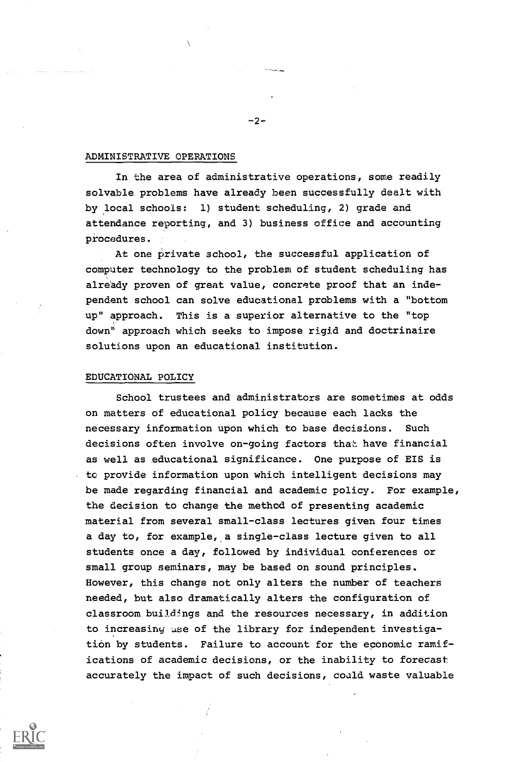# ADMINISTRATIVE OPERATIONS

In the area of administrative operations, some readily solvable problems have already been successfully dealt with by local schools: 1) student scheduling, 2) grade and attendance reporting, and 3) business office and accounting procedures.

At one private school, the successful application of computer technology to the problem of student scheduling has already proven of great value, concrete proof that an independent school can solve educational problems with a "bottom up" approach. This is a superior alternative to the "top down" approach which seeks to impose rigid and doctrinaire solutions upon an educational institution.

## EDUCATIONAL POLICY

School trustees and administrators are sometimes at odds on matters of educational policy because each lacks the necessary information upon which to base decisions. Such decisions often involve on-going factors that have financial as well as educational significance. One purpose of EIS is to provide information upon which intelligent decisions may be made regarding financial and academic policy. For example, the decision to change the method of presenting academic material from several small-class lectures given four times a day to, for example, a single-class lecture given to all students once a day, followed by individual conferences or small group seminars, may be based on sound principles. However, this change not only alters the number of teachers needed, but also dramatically alters the configuration of classroom buildings and the resources necessary, in addition to increasing use of the library for independent investigation by students. Failure to account for the economic ramifications of academic decisions, or the inability to forecast accurately the impact of such decisions, coald waste valuable



 $-2-$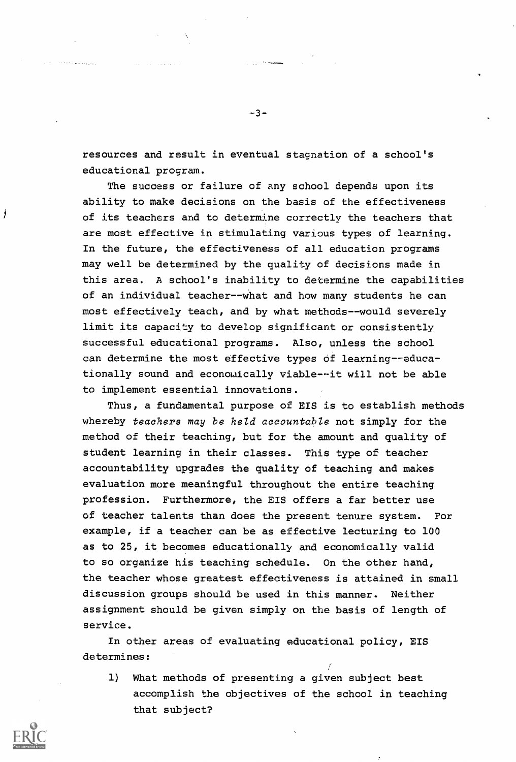resources and result in eventual stagnation of a school's educational program.

-3-

The success or failure of any school depends upon its ability to make decisions on the basis of the effectiveness of its teachers and to determine correctly the teachers that are most effective in stimulating various types of learning. In the future, the effectiveness of all education programs may well be determined by the quality of decisions made in this area. A school's inability to determine the capabilities of an individual teacher--what and how many students he can most effectively teach, and by what methods--would severely limit its capacity to develop significant or consistently successful educational programs. Also, unless the school can determine the most effective types of learning--educationally sound and economically viable--it will not be able to implement essential innovations.

Thus, a fundamental purpose of EIS is to establish methods whereby teachers may be held accountable not simply for the method of their teaching, but for the amount and quality of student learning in their classes. This type of teacher accountability upgrades the quality of teaching and makes evaluation more meaningful throughout the entire teaching profession. Furthermore, the EIS offers a far better use of teacher talents than does the present tenure system. For example, if a teacher can be as effective lecturing to 100 as to 25, it becomes educationally and economically valid to so organize his teaching schedule. On the other hand, the teacher whose greatest effectiveness is attained in small discussion groups should be used in this manner. Neither assignment should be given simply on the basis of length of service.

In other areas of evaluating educational policy, EIS determines:

1) What methods of presenting a given subject best accomplish the objectives of the school in teaching that subject?



ł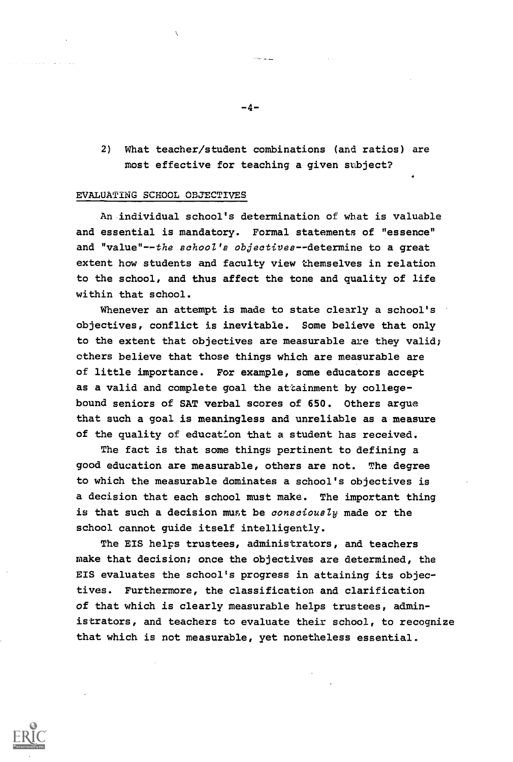2) What teacher/student combinations (and ratios) are most effective for teaching a given subject?

## EVALUATING SCHOOL OBJECTIVES

An individual school's determination of what is valuable and essential is mandatory. Formal statements of "essence" and "value"--the school's objectives--determine to a great extent how students and faculty view themselves in relation to the school, and thus affect the tone and quality of life within that school.

Whenever an attempt is made to state clearly a school's objectives, conflict is inevitable. Some believe that only to the extent that objectives are measurable are they valid; others believe that those things which are measurable are of little importance. For example, some educators accept as a valid and complete goal the attainment by collegebound seniors of SAT verbal scores of 650. Others argue that such a goal is meaningless and unreliable as a measure of the quality of education that a student has received.

The fact is that some things pertinent to defining a good education are measurable, others are not. The degree to which the measurable dominates a school's objectives is a decision that each school must make. The important thing is that such a decision must be consciously made or the school cannot guide itself intelligently.

The EIS helps trustees, administrators, and teachers make that decision; once the objectives are determined, the EIS evaluates the school's progress in attaining its objectives. Furthermore, the classification and clarification of that which is clearly measurable helps trustees, administrators, and teachers to evaluate their school, to recognize that which is not measurable, yet nonetheless essential.

-4-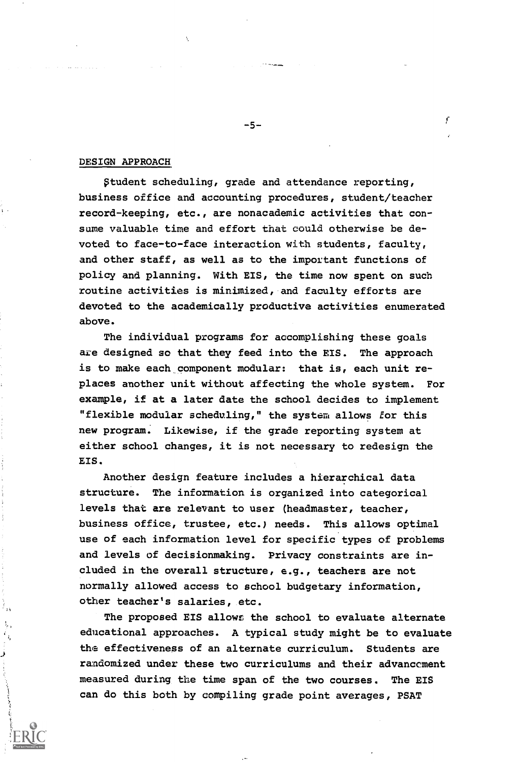#### DESIGN APPROACH

Student scheduling, grade and attendance reporting, business office and accounting procedures, student/teacher record-keeping, etc., are nonacademic activities that consume valuable time and effort that could otherwise be devoted to face-to-face interaction with students, faculty, and other staff, as well as to the important functions of policy and planning. With EIS, the time now spent on such routine activities is minimized, and faculty efforts are devoted to the academically productive activities enumerated above.

The individual programs for accomplishing these goals are designed so that they feed into the EIS. The approach is to make each component modular: that is, each unit replaces another unit without affecting the whole system. For example, if at a later date the school decides to implement "flexible modular scheduling," the system allows for this new program. Likewise, if the grade reporting system at either school changes, it is not necessary to redesign the EIS.

Another design feature includes a hierarchical data structure. The information is organized into categorical levels that are relevant to user (headmaster, teacher, business office, trustee, etc.) needs. This allows optimal use of each information level for specific types of problems and levels of decisionmaking. Privacy constraints are included in the overall structure, e.g., teachers are not normally allowed access to school budgetary information, other teacher's salaries, etc.

The proposed EIS allows the school to evaluate alternate educational approaches. A typical study might be to evaluate the effectiveness of an alternate curriculum. Students are randomized under these two curriculums and their advancement measured during the time span of the two courses. The EIS can do this both by compiling grade point averages, PSAT

 $-5-$ 

ŗ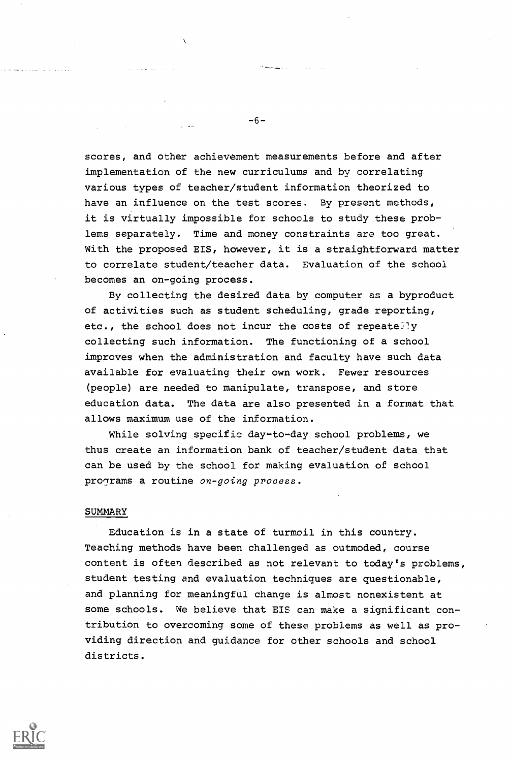scores, and other achievement measurements before and after implementation of the new curriculums and by correlating various types of teacher/student information theorized to have an influence on the test scores. By present methods, it is virtually impossible for schools to study these problems separately. Time and money constraints are too great. With the proposed EIS, however, it is a straightforward matter to correlate student/teacher data. Evaluation of the school becomes an on-going process.

By collecting the desired data by computer as a byproduct of activities such as student scheduling, grade reporting, etc., the school does not incur the costs of repeate.ly collecting such information. The functioning of a school improves when the administration and faculty have such data available for evaluating their own work. Fewer resources (people) are needed to manipulate, transpose, and store education data. The data are also presented in a format that allows maximum use of the information.

While solving specific day-to-day school problems, we thus create an information bank of teacher/student data that can be used by the school for making evaluation of school programs a routine on-going process.

## SUMMARY

Education is in a state of turmoil in this country. Teaching methods have been challenged as outmoded, course content is often described as not relevant to today's problems, student testing and evaluation techniques are questionable, and planning for meaningful change is almost nonexistent at some schools. We believe that EIS can make a significant contribution to overcoming some of these problems as well as providing direction and guidance for other schools and school districts.



-6-